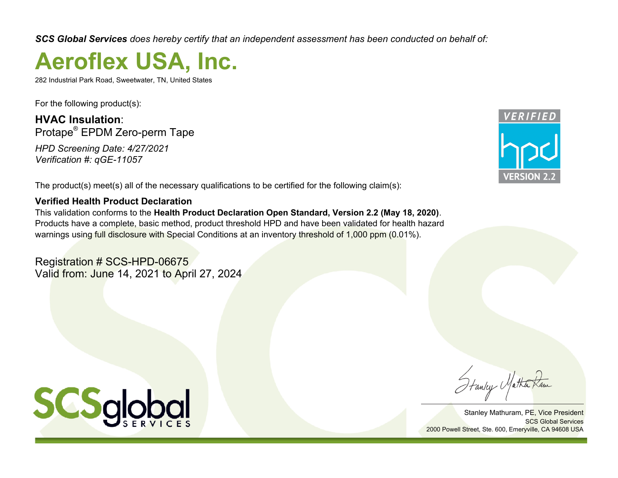*SCS Global Services does hereby certify that an independent assessment has been conducted on behalf of:*

# **Aeroflex USA, Inc.**

282 Industrial Park Road, Sweetwater, TN, United States

For the following product(s):

**HVAC Insulation**: Protape® EPDM Zero-perm Tape

*HPD Screening Date: 4/27/2021 Verification #: qGE-11057*

**VERSION** 

The product(s) meet(s) all of the necessary qualifications to be certified for the following claim(s):

## **Verified Health Product Declaration**

This validation conforms to the **Health Product Declaration Open Standard, Version 2.2 (May 18, 2020)**. Products have a complete, basic method, product threshold HPD and have been validated for health hazard warnings using full disclosure with Special Conditions at an inventory threshold of 1,000 ppm (0.01%).

Registration # SCS-HPD-06675 Valid from: June 14, 2021 to April 27, 2024



Stanley Mathuram, PE, Vice President SCS Global Services 2000 Powell Street, Ste. 600, Emeryville, CA 94608 USA

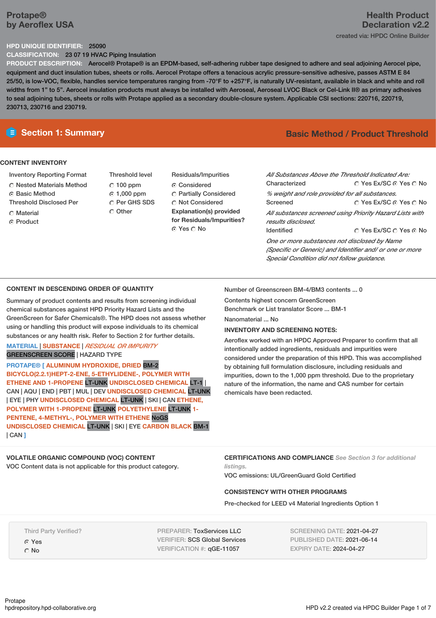## **Protape® by Aeroflex USA**

#### **HPD UNIQUE IDENTIFIER:** 25090

**CLASSIFICATION:** 23 07 19 HVAC Piping Insulation

**PRODUCT DESCRIPTION:** Aerocel® Protape® is an EPDM-based, self-adhering rubber tape designed to adhere and seal adjoining Aerocel pipe, equipment and duct insulation tubes, sheets or rolls. Aerocel Protape offers a tenacious acrylic pressure-sensitive adhesive, passes ASTM E 84 25/50, is low-VOC, flexible, handles service temperatures ranging from -70°F to +257°F, is naturally UV-resistant, available in black and white and roll widths from 1" to 5". Aerocel insulation products must always be installed with Aeroseal, Aeroseal LVOC Black or Cel-Link II® as primary adhesives to seal adjoining tubes, sheets or rolls with Protape applied as a secondary double-closure system. Applicable CSI sections: 220716, 220719, 230713, 230716 and 230719.

## **CONTENT INVENTORY**

- Inventory Reporting Format
- Nested Materials Method
- **6** Basic Method
- Threshold Disclosed Per
- $\cap$  Material
- C Product

Threshold level  $C$  100 ppm 1,000 ppm C Per GHS SDS Other

Residuals/Impurities Considered Partially Considered C Not Considered **Explanation(s) provided for Residuals/Impurities?** ⊙ Yes O No

## **Section 1: Summary Basic Method / Product Threshold**

| All Substances Above the Threshold Indicated Are:<br>Characterized | ∩ Yes Ex/SC ∩ Yes ∩ No |
|--------------------------------------------------------------------|------------------------|
| % weight and role provided for all substances.                     |                        |
| Screened                                                           | ∩ Yes Ex/SC ∩ Yes ∩ No |
| All substances screened using Priority Hazard Lists with           |                        |
| results disclosed.                                                 |                        |
| <b>Identified</b>                                                  | ○ Yes Ex/SC ○ Yes ⊙ No |
| One or more substances not disclosed by Name                       |                        |
| (Specific or Generic) and Identifier and/ or one or more           |                        |
| Special Condition did not follow quidance.                         |                        |

#### **CONTENT IN DESCENDING ORDER OF QUANTITY**

Summary of product contents and results from screening individual chemical substances against HPD Priority Hazard Lists and the GreenScreen for Safer Chemicals®. The HPD does not assess whether using or handling this product will expose individuals to its chemical substances or any health risk. Refer to Section 2 for further details.

#### **MATERIAL** | **SUBSTANCE** | *RESIDUAL OR IMPURITY* GREENSCREEN SCORE | HAZARD TYPE

**PROTAPE® [ ALUMINUM HYDROXIDE, DRIED** BM-2 **BICYCLO(2.2.1)HEPT-2-ENE, 5-ETHYLIDENE-, POLYMER WITH ETHENE AND 1-PROPENE** LT-UNK **UNDISCLOSED CHEMICAL** LT-1 | CAN | AQU | END | PBT | MUL | DEV **UNDISCLOSED CHEMICAL** LT-UNK | EYE | PHY **UNDISCLOSED CHEMICAL** LT-UNK | SKI | CAN **ETHENE, POLYMER WITH 1-PROPENE** LT-UNK **POLYETHYLENE** LT-UNK **1- PENTENE, 4-METHYL-, POLYMER WITH ETHENE** NoGS **UNDISCLOSED CHEMICAL** LT-UNK | SKI | EYE **CARBON BLACK** BM-1 | CAN **]**

# **VOLATILE ORGANIC COMPOUND (VOC) CONTENT**

VOC Content data is not applicable for this product category.

Number of Greenscreen BM-4/BM3 contents ... 0

Contents highest concern GreenScreen

Benchmark or List translator Score ... BM-1

Nanomaterial ... No

### **INVENTORY AND SCREENING NOTES:**

Aeroflex worked with an HPDC Approved Preparer to confirm that all intentionally added ingredients, residuals and impurities were considered under the preparation of this HPD. This was accomplished by obtaining full formulation disclosure, including residuals and impurities, down to the 1,000 ppm threshold. Due to the proprietary nature of the information, the name and CAS number for certain chemicals have been redacted.

**CERTIFICATIONS AND COMPLIANCE** *See Section 3 for additional listings.*

VOC emissions: UL/GreenGuard Gold Certified

#### **CONSISTENCY WITH OTHER PROGRAMS**

Pre-checked for LEED v4 Material Ingredients Option 1

Third Party Verified? Yes C<sub>No</sub>

PREPARER: ToxServices LLC VERIFIER: SCS Global Services VERIFICATION #: qGE-11057

SCREENING DATE: 2021-04-27 PUBLISHED DATE: 2021-06-14 EXPIRY DATE: 2024-04-27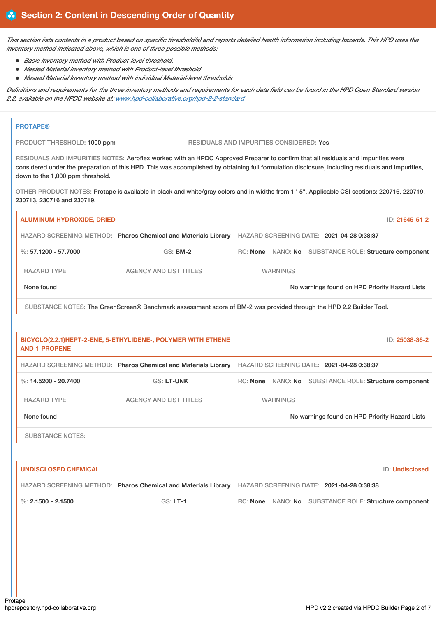This section lists contents in a product based on specific threshold(s) and reports detailed health information including hazards. This HPD uses the *inventory method indicated above, which is one of three possible methods:*

- *Basic Inventory method with Product-level threshold.*
- *Nested Material Inventory method with Product-level threshold*
- *Nested Material Inventory method with individual Material-level thresholds*

Definitions and requirements for the three inventory methods and requirements for each data field can be found in the HPD Open Standard version *2.2, available on the HPDC website at: www.hpd-collaborative.org/hpd-2-2-standard*

| <b>PROTAPE®</b>                  |                                                                                                                                  |                                                 |                                                                                                                                                   |
|----------------------------------|----------------------------------------------------------------------------------------------------------------------------------|-------------------------------------------------|---------------------------------------------------------------------------------------------------------------------------------------------------|
| PRODUCT THRESHOLD: 1000 ppm      |                                                                                                                                  | <b>RESIDUALS AND IMPURITIES CONSIDERED: Yes</b> |                                                                                                                                                   |
| down to the 1,000 ppm threshold. | RESIDUALS AND IMPURITIES NOTES: Aeroflex worked with an HPDC Approved Preparer to confirm that all residuals and impurities were |                                                 | considered under the preparation of this HPD. This was accomplished by obtaining full formulation disclosure, including residuals and impurities, |
| 230713, 230716 and 230719.       |                                                                                                                                  |                                                 | OTHER PRODUCT NOTES: Protape is available in black and white/gray colors and in widths from 1"-5". Applicable CSI sections: 220716, 220719,       |
| <b>ALUMINUM HYDROXIDE, DRIED</b> |                                                                                                                                  |                                                 | ID: 21645-51-2                                                                                                                                    |
|                                  | HAZARD SCREENING METHOD: Pharos Chemical and Materials Library HAZARD SCREENING DATE: 2021-04-28 0:38:37                         |                                                 |                                                                                                                                                   |
| %: $57.1200 - 57.7000$           | $GS:$ BM-2                                                                                                                       |                                                 | RC: None NANO: No SUBSTANCE ROLE: Structure component                                                                                             |
| <b>HAZARD TYPE</b>               | <b>AGENCY AND LIST TITLES</b>                                                                                                    | <b>WARNINGS</b>                                 |                                                                                                                                                   |
| None found                       |                                                                                                                                  |                                                 | No warnings found on HPD Priority Hazard Lists                                                                                                    |
|                                  | SUBSTANCE NOTES: The GreenScreen® Benchmark assessment score of BM-2 was provided through the HPD 2.2 Builder Tool.              |                                                 |                                                                                                                                                   |
|                                  |                                                                                                                                  |                                                 |                                                                                                                                                   |
| <b>AND 1-PROPENE</b>             | BICYCLO(2.2.1)HEPT-2-ENE, 5-ETHYLIDENE-, POLYMER WITH ETHENE                                                                     |                                                 | ID: 25038-36-2                                                                                                                                    |
|                                  | HAZARD SCREENING METHOD: Pharos Chemical and Materials Library                                                                   |                                                 | HAZARD SCREENING DATE: 2021-04-28 0:38:37                                                                                                         |
| %: $14.5200 - 20.7400$           | <b>GS: LT-UNK</b>                                                                                                                |                                                 | RC: None NANO: No SUBSTANCE ROLE: Structure component                                                                                             |
| <b>HAZARD TYPE</b>               | <b>AGENCY AND LIST TITLES</b>                                                                                                    | <b>WARNINGS</b>                                 |                                                                                                                                                   |
| None found                       |                                                                                                                                  |                                                 | No warnings found on HPD Priority Hazard Lists                                                                                                    |
| <b>SUBSTANCE NOTES:</b>          |                                                                                                                                  |                                                 |                                                                                                                                                   |
|                                  |                                                                                                                                  |                                                 |                                                                                                                                                   |
| <b>UNDISCLOSED CHEMICAL</b>      |                                                                                                                                  |                                                 | <b>ID: Undisclosed</b>                                                                                                                            |
|                                  | HAZARD SCREENING METHOD: Pharos Chemical and Materials Library                                                                   |                                                 | HAZARD SCREENING DATE: 2021-04-28 0:38:38                                                                                                         |
| %: $2.1500 - 2.1500$             | <b>GS: LT-1</b>                                                                                                                  |                                                 | RC: None NANO: No SUBSTANCE ROLE: Structure component                                                                                             |
|                                  |                                                                                                                                  |                                                 |                                                                                                                                                   |
|                                  |                                                                                                                                  |                                                 |                                                                                                                                                   |
|                                  |                                                                                                                                  |                                                 |                                                                                                                                                   |
|                                  |                                                                                                                                  |                                                 |                                                                                                                                                   |
|                                  |                                                                                                                                  |                                                 |                                                                                                                                                   |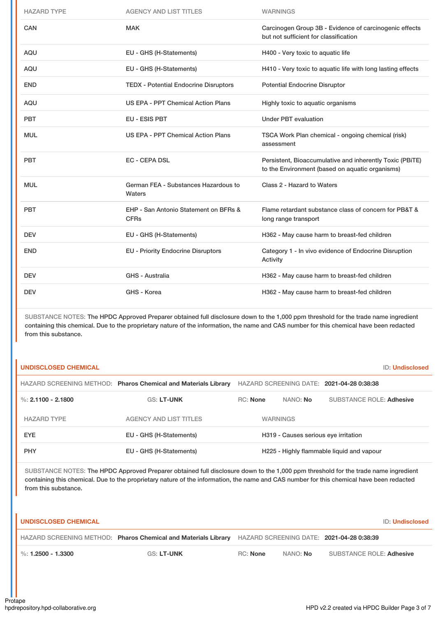| <b>HAZARD TYPE</b> | <b>AGENCY AND LIST TITLES</b>                        | <b>WARNINGS</b>                                                                                             |
|--------------------|------------------------------------------------------|-------------------------------------------------------------------------------------------------------------|
| <b>CAN</b>         | <b>MAK</b>                                           | Carcinogen Group 3B - Evidence of carcinogenic effects<br>but not sufficient for classification             |
| <b>AQU</b>         | EU - GHS (H-Statements)                              | H400 - Very toxic to aquatic life                                                                           |
| <b>AQU</b>         | EU - GHS (H-Statements)                              | H410 - Very toxic to aquatic life with long lasting effects                                                 |
| <b>END</b>         | <b>TEDX - Potential Endocrine Disruptors</b>         | <b>Potential Endocrine Disruptor</b>                                                                        |
| <b>AQU</b>         | US EPA - PPT Chemical Action Plans                   | Highly toxic to aquatic organisms                                                                           |
| <b>PBT</b>         | EU - ESIS PBT                                        | <b>Under PBT evaluation</b>                                                                                 |
| <b>MUL</b>         | US EPA - PPT Chemical Action Plans                   | TSCA Work Plan chemical - ongoing chemical (risk)<br>assessment                                             |
| <b>PBT</b>         | <b>EC - CEPA DSL</b>                                 | Persistent, Bioaccumulative and inherently Toxic (PBiTE)<br>to the Environment (based on aquatic organisms) |
| <b>MUL</b>         | German FEA - Substances Hazardous to<br>Waters       | Class 2 - Hazard to Waters                                                                                  |
| <b>PBT</b>         | EHP - San Antonio Statement on BFRs &<br><b>CFRs</b> | Flame retardant substance class of concern for PB&T &<br>long range transport                               |
| <b>DEV</b>         | EU - GHS (H-Statements)                              | H362 - May cause harm to breast-fed children                                                                |
| <b>END</b>         | <b>EU - Priority Endocrine Disruptors</b>            | Category 1 - In vivo evidence of Endocrine Disruption<br>Activity                                           |
| <b>DEV</b>         | GHS - Australia                                      | H362 - May cause harm to breast-fed children                                                                |
| <b>DEV</b>         | GHS - Korea                                          | H362 - May cause harm to breast-fed children                                                                |

SUBSTANCE NOTES: The HPDC Approved Preparer obtained full disclosure down to the 1,000 ppm threshold for the trade name ingredient containing this chemical. Due to the proprietary nature of the information, the name and CAS number for this chemical have been redacted from this substance.

| UNDISCLOSED CHEMICAL |                                                                |                 |                                      | <b>ID: Undisclosed</b>                    |  |
|----------------------|----------------------------------------------------------------|-----------------|--------------------------------------|-------------------------------------------|--|
|                      | HAZARD SCREENING METHOD: Pharos Chemical and Materials Library |                 |                                      | HAZARD SCREENING DATE: 2021-04-28 0:38:38 |  |
| %: $2.1100 - 2.1800$ | <b>GS: LT-UNK</b>                                              | <b>RC:</b> None | NANO: No                             | <b>SUBSTANCE ROLE: Adhesive</b>           |  |
| <b>HAZARD TYPE</b>   | <b>AGENCY AND LIST TITLES</b>                                  |                 | <b>WARNINGS</b>                      |                                           |  |
| <b>EYE</b>           | EU - GHS (H-Statements)                                        |                 | H319 - Causes serious eye irritation |                                           |  |
| <b>PHY</b>           | EU - GHS (H-Statements)                                        |                 |                                      | H225 - Highly flammable liquid and vapour |  |

SUBSTANCE NOTES: The HPDC Approved Preparer obtained full disclosure down to the 1,000 ppm threshold for the trade name ingredient containing this chemical. Due to the proprietary nature of the information, the name and CAS number for this chemical have been redacted from this substance.

| <b>I UNDISCLOSED CHEMICAL</b>     |                                                                                                          |          |                 |                                 | ID: Undisclosed |
|-----------------------------------|----------------------------------------------------------------------------------------------------------|----------|-----------------|---------------------------------|-----------------|
|                                   | HAZARD SCREENING METHOD: Pharos Chemical and Materials Library HAZARD SCREENING DATE: 2021-04-28 0:38:39 |          |                 |                                 |                 |
| $\blacksquare$ %: 1.2500 - 1.3300 | <b>GS: LT-UNK</b>                                                                                        | RC: None | NANO: <b>No</b> | <b>SUBSTANCE ROLE: Adhesive</b> |                 |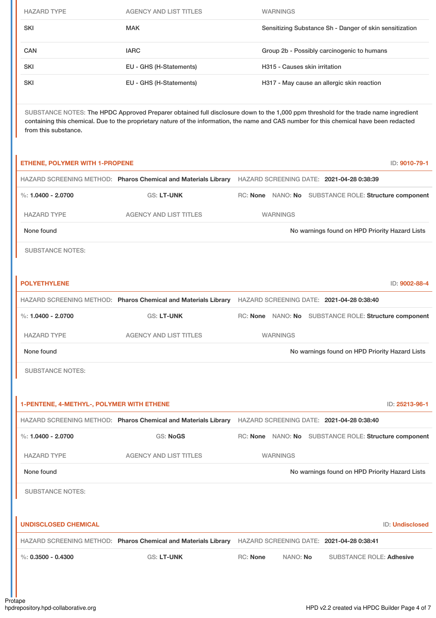| <b>HAZARD TYPE</b> | <b>AGENCY AND LIST TITLES</b> | <b>WARNINGS</b>                                         |
|--------------------|-------------------------------|---------------------------------------------------------|
| SKI                | <b>MAK</b>                    | Sensitizing Substance Sh - Danger of skin sensitization |
| <b>CAN</b>         | <b>IARC</b>                   | Group 2b - Possibly carcinogenic to humans              |
| <b>SKI</b>         | EU - GHS (H-Statements)       | H315 - Causes skin irritation                           |
| <b>SKI</b>         | EU - GHS (H-Statements)       | H317 - May cause an allergic skin reaction              |
|                    |                               |                                                         |

SUBSTANCE NOTES: The HPDC Approved Preparer obtained full disclosure down to the 1,000 ppm threshold for the trade name ingredient containing this chemical. Due to the proprietary nature of the information, the name and CAS number for this chemical have been redacted from this substance.

| <b>ETHENE, POLYMER WITH 1-PROPENE</b>     |                                                                                                          |                                                       |  | ID: 9010-79-1                                  |                 |
|-------------------------------------------|----------------------------------------------------------------------------------------------------------|-------------------------------------------------------|--|------------------------------------------------|-----------------|
|                                           | HAZARD SCREENING METHOD: Pharos Chemical and Materials Library HAZARD SCREENING DATE: 2021-04-28 0:38:39 |                                                       |  |                                                |                 |
| %: $1.0400 - 2.0700$                      | GS: LT-UNK                                                                                               | RC: None NANO: No SUBSTANCE ROLE: Structure component |  |                                                |                 |
| <b>HAZARD TYPE</b>                        | <b>AGENCY AND LIST TITLES</b>                                                                            | <b>WARNINGS</b>                                       |  |                                                |                 |
| None found                                |                                                                                                          |                                                       |  | No warnings found on HPD Priority Hazard Lists |                 |
| <b>SUBSTANCE NOTES:</b>                   |                                                                                                          |                                                       |  |                                                |                 |
|                                           |                                                                                                          |                                                       |  |                                                |                 |
| <b>POLYETHYLENE</b>                       |                                                                                                          |                                                       |  |                                                | ID: 9002-88-4   |
|                                           | HAZARD SCREENING METHOD: Pharos Chemical and Materials Library HAZARD SCREENING DATE: 2021-04-28 0:38:40 |                                                       |  |                                                |                 |
| %: $1.0400 - 2.0700$                      | <b>GS: LT-UNK</b>                                                                                        | RC: None NANO: No SUBSTANCE ROLE: Structure component |  |                                                |                 |
| <b>HAZARD TYPE</b>                        | <b>AGENCY AND LIST TITLES</b>                                                                            | <b>WARNINGS</b>                                       |  |                                                |                 |
|                                           |                                                                                                          |                                                       |  |                                                |                 |
| None found                                |                                                                                                          |                                                       |  | No warnings found on HPD Priority Hazard Lists |                 |
| <b>SUBSTANCE NOTES:</b>                   |                                                                                                          |                                                       |  |                                                |                 |
|                                           |                                                                                                          |                                                       |  |                                                |                 |
| 1-PENTENE, 4-METHYL-, POLYMER WITH ETHENE |                                                                                                          |                                                       |  |                                                |                 |
|                                           | HAZARD SCREENING METHOD: Pharos Chemical and Materials Library HAZARD SCREENING DATE: 2021-04-28 0:38:40 |                                                       |  |                                                | ID: 25213-96-1  |
| %: $1.0400 - 2.0700$                      | <b>GS: NoGS</b>                                                                                          | RC: None NANO: No SUBSTANCE ROLE: Structure component |  |                                                |                 |
| <b>HAZARD TYPE</b>                        | <b>AGENCY AND LIST TITLES</b>                                                                            | <b>WARNINGS</b>                                       |  |                                                |                 |
| None found                                |                                                                                                          |                                                       |  | No warnings found on HPD Priority Hazard Lists |                 |
| <b>SUBSTANCE NOTES:</b>                   |                                                                                                          |                                                       |  |                                                |                 |
|                                           |                                                                                                          |                                                       |  |                                                |                 |
| <b>UNDISCLOSED CHEMICAL</b>               |                                                                                                          |                                                       |  |                                                | ID: Undisclosed |
|                                           | HAZARD SCREENING METHOD: Pharos Chemical and Materials Library                                           | HAZARD SCREENING DATE: 2021-04-28 0:38:41             |  |                                                |                 |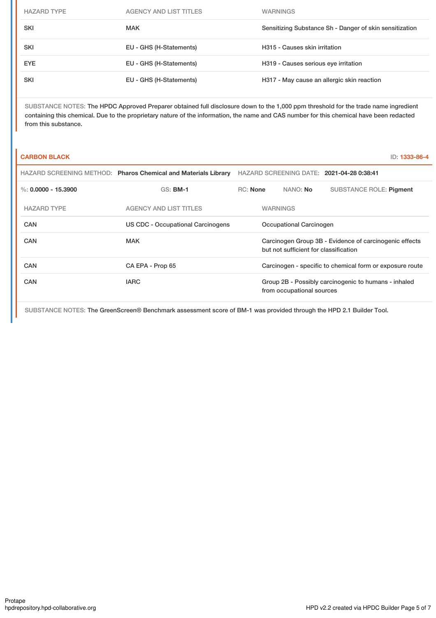| <b>HAZARD TYPE</b> | <b>AGENCY AND LIST TITLES</b> | <b>WARNINGS</b>                                         |
|--------------------|-------------------------------|---------------------------------------------------------|
| <b>SKI</b>         | <b>MAK</b>                    | Sensitizing Substance Sh - Danger of skin sensitization |
| <b>SKI</b>         | EU - GHS (H-Statements)       | H315 - Causes skin irritation                           |
| <b>EYE</b>         | EU - GHS (H-Statements)       | H319 - Causes serious eye irritation                    |
| <b>SKI</b>         | EU - GHS (H-Statements)       | H317 - May cause an allergic skin reaction              |

SUBSTANCE NOTES: The HPDC Approved Preparer obtained full disclosure down to the 1,000 ppm threshold for the trade name ingredient containing this chemical. Due to the proprietary nature of the information, the name and CAS number for this chemical have been redacted from this substance.

| <b>CARBON BLACK</b>   |                                                                |          |                                       | ID: 1333-86-4                                            |
|-----------------------|----------------------------------------------------------------|----------|---------------------------------------|----------------------------------------------------------|
|                       | HAZARD SCREENING METHOD: Pharos Chemical and Materials Library |          |                                       | HAZARD SCREENING DATE: 2021-04-28 0:38:41                |
| %: $0.0000 - 15.3900$ | $GS:$ BM-1                                                     | RC: None | NANO: <b>No</b>                       | <b>SUBSTANCE ROLE: Pigment</b>                           |
| <b>HAZARD TYPE</b>    | <b>AGENCY AND LIST TITLES</b>                                  |          | <b>WARNINGS</b>                       |                                                          |
| CAN                   | US CDC - Occupational Carcinogens                              |          | Occupational Carcinogen               |                                                          |
| CAN                   | <b>MAK</b>                                                     |          | but not sufficient for classification | Carcinogen Group 3B - Evidence of carcinogenic effects   |
| CAN                   | CA EPA - Prop 65                                               |          |                                       | Carcinogen - specific to chemical form or exposure route |
| CAN                   | <b>IARC</b>                                                    |          | from occupational sources             | Group 2B - Possibly carcinogenic to humans - inhaled     |

SUBSTANCE NOTES: The GreenScreen® Benchmark assessment score of BM-1 was provided through the HPD 2.1 Builder Tool.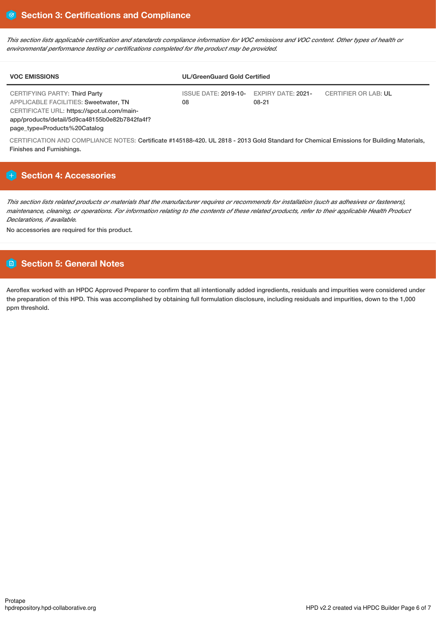This section lists applicable certification and standards compliance information for VOC emissions and VOC content. Other types of health or *environmental performance testing or certifications completed for the product may be provided.*

| <b>VOC EMISSIONS</b>                                                                                                                                                                | <b>UL/GreenGuard Gold Certified</b>           |       |                             |
|-------------------------------------------------------------------------------------------------------------------------------------------------------------------------------------|-----------------------------------------------|-------|-----------------------------|
| <b>CERTIFYING PARTY: Third Party</b><br><b>APPLICABLE FACILITIES: Sweetwater, TN</b><br>CERTIFICATE URL: https://spot.ul.com/main-<br>app/products/detail/5d9ca48155b0e82b7842fa4f? | ISSUE DATE: 2019-10- EXPIRY DATE: 2021-<br>08 | 08-21 | <b>CERTIFIER OR LAB: UL</b> |

page\_type=Products%20Catalog

CERTIFICATION AND COMPLIANCE NOTES: Certificate #145188-420. UL 2818 - 2013 Gold Standard for Chemical Emissions for Building Materials, Finishes and Furnishings.

## **Section 4: Accessories**

This section lists related products or materials that the manufacturer requires or recommends for installation (such as adhesives or fasteners), maintenance, cleaning, or operations. For information relating to the contents of these related products, refer to their applicable Health Product *Declarations, if available.*

No accessories are required for this product.

## **Section 5: General Notes**

Aeroflex worked with an HPDC Approved Preparer to confirm that all intentionally added ingredients, residuals and impurities were considered under the preparation of this HPD. This was accomplished by obtaining full formulation disclosure, including residuals and impurities, down to the 1,000 ppm threshold.